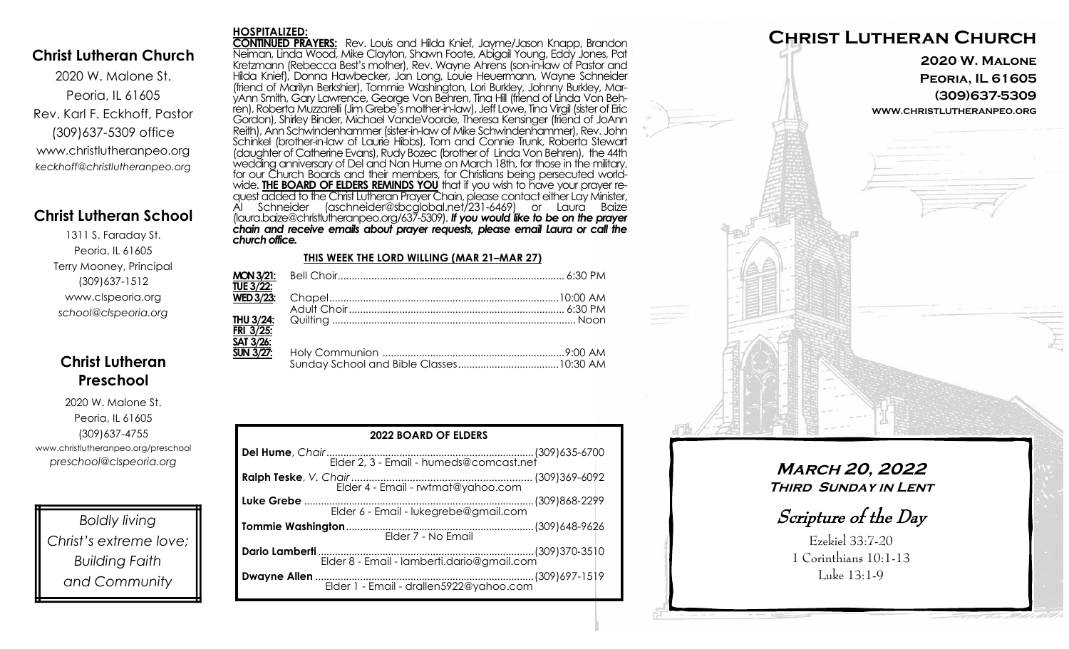### **Christ Lutheran Church**

2020 W. Malone St. Peoria, IL 61605 Rev. Karl F. Eckhoff, Pastor (309)637-5309 office www.christlutheranpeo.org *keckhoff@christlutheranpeo.org*

## **Christ Lutheran School**

1311 S. Faraday St. Peoria, IL 61605 Terry Mooney, Principal (309)637-1512 www.clspeoria.org *school@clspeoria.org*

## **Christ Lutheran Preschool**

2020 W. Malone St. Peoria, IL 61605 (309)637-4755 www.christlutheranpeo.org/preschool *preschool@clspeoria.org*

*Boldly living Christ's extreme love; Building Faith and Community*

#### **HOSPITALIZED:**

**CONTINUED PRAYERS:** Rev. Louis and Hilda Knief, Jayme/Jason Knapp, Brandon Neiman, Linda Wood, Mike Clayton, Shawn Foote, Abigail Young, Eddy Jones, Pat Kretzmann (Rebecca Best's mother), Rev. Wayne Ahrens (son-in-law of Pastor and Hilda Knief), Donna Hawbecker, Jan Long, Louie Heuermann, Wayne Schneider (friend of Marilyn Berkshier), Tommie Washington, Lori Burkley, Johnny Burkley, MaryAnn Smith, Gary Lawrence, George Von Behren, Tina Hill (friend of Linda Von Behren), Roberta Muzzarelli (Jim Grebe's mother-in-law), Jeff Lowe, Tina Virgil (sister of Eric Gordon), Shirley Binder, Michael VandeVoorde, Theresa Kensinger (friend of JoAnn Reith), Ann Schwindenhammer (sister-in-law of Mike Schwindenhammer), Rev. John Schinkel (brother-in-law of Laurie Hibbs), Tom and Connie Trunk, Roberta Stewart (daughter of Catherine Evans), Rudy Bozec (brother of Linda Von Behren), the 44th wedding anniversary of Del and Nan Hume on March 18th, for those in the military, for our Church Boards and their members, for Christians being persecuted worldwide. **THE BOARD OF ELDERS REMINDS YOU** that if you wish to have your prayer request added to the Christ Lutheran Prayer Chain, please contact either Lay Minister, Al Schneider (aschneider@sbcglobal.net/231-6469) or Laura Baize (laura.baize@christlutheranpeo.org/637-5309). *If you would like to be on the prayer chain and receive emails about prayer requests, please email Laura or call the church office.*

#### **THIS WEEK THE LORD WILLING (MAR 21–MAR 27)**

| <b>TUE 3/22:</b> |  |
|------------------|--|
| <b>WED 3/23:</b> |  |
|                  |  |
|                  |  |
| <b>FRI 3/25:</b> |  |
| SAT 3/26:        |  |
| <b>SUN 3/27:</b> |  |
|                  |  |

| <b>2022 BOARD OF ELDERS</b>           |  |  |
|---------------------------------------|--|--|
|                                       |  |  |
|                                       |  |  |
| Elder 6 - Email - lukegrebe@gmail.com |  |  |
| Elder 7 - No Email                    |  |  |
| Dario Lamberti                        |  |  |
|                                       |  |  |



**March 20, 2022 Third Sunday in Lent**

Scripture of the Day

Ezekiel 33:7-20 1 Corinthians 10:1-13 Luke 13:1-9